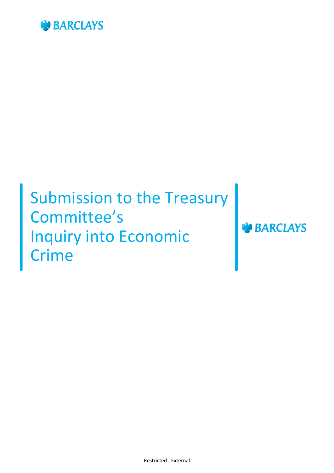

# Submission to the Treasury Committee's Inquiry into Economic Crime

Restricted - External

**BARCLAYS**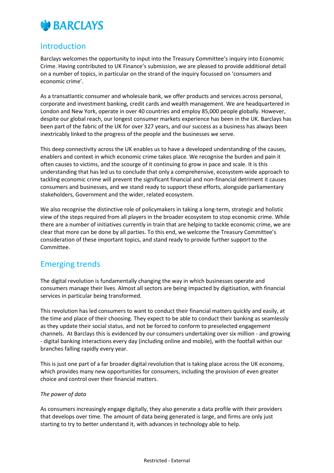

## Introduction

Barclays welcomes the opportunity to input into the Treasury Committee's inquiry into Economic Crime. Having contributed to UK Finance's submission, we are pleased to provide additional detail on a number of topics, in particular on the strand of the inquiry focussed on 'consumers and economic crime'.

As a transatlantic consumer and wholesale bank, we offer products and services across personal, corporate and investment banking, credit cards and wealth management. We are headquartered in London and New York, operate in over 40 countries and employ 85,000 people globally. However, despite our global reach, our longest consumer markets experience has been in the UK. Barclays has been part of the fabric of the UK for over 327 years, and our success as a business has always been inextricably linked to the progress of the people and the businesses we serve.

This deep connectivity across the UK enables us to have a developed understanding of the causes, enablers and context in which economic crime takes place. We recognise the burden and pain it often causes to victims, and the scourge of it continuing to grow in pace and scale. It is this understanding that has led us to conclude that only a comprehensive, ecosystem-wide approach to tackling economic crime will prevent the significant financial and non-financial detriment it causes consumers and businesses, and we stand ready to support these efforts, alongside parliamentary stakeholders, Government and the wider, related ecosystem.

We also recognise the distinctive role of policymakers in taking a long-term, strategic and holistic view of the steps required from all players in the broader ecosystem to stop economic crime. While there are a number of initiatives currently in train that are helping to tackle economic crime, we are clear that more can be done by all parties. To this end, we welcome the Treasury Committee's consideration of these important topics, and stand ready to provide further support to the Committee.

# Emerging trends

The digital revolution is fundamentally changing the way in which businesses operate and consumers manage their lives. Almost all sectors are being impacted by digitisation, with financial services in particular being transformed.

This revolution has led consumers to want to conduct their financial matters quickly and easily, at the time and place of their choosing. They expect to be able to conduct their banking as seamlessly as they update their social status, and not be forced to conform to preselected engagement channels. At Barclays this is evidenced by our consumers undertaking over six million - and growing - digital banking interactions every day (including online and mobile), with the footfall within our branches falling rapidly every year.

This is just one part of a far broader digital revolution that is taking place across the UK economy, which provides many new opportunities for consumers, including the provision of even greater choice and control over their financial matters.

#### *The power of data*

As consumers increasingly engage digitally, they also generate a data profile with their providers that develops over time. The amount of data being generated is large, and firms are only just starting to try to better understand it, with advances in technology able to help.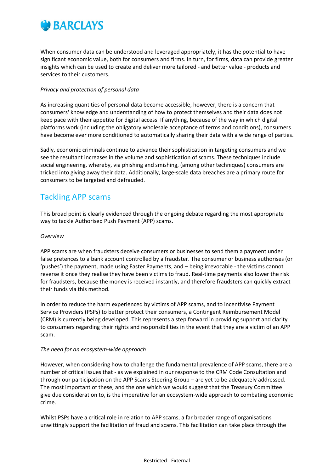

When consumer data can be understood and leveraged appropriately, it has the potential to have significant economic value, both for consumers and firms. In turn, for firms, data can provide greater insights which can be used to create and deliver more tailored - and better value - products and services to their customers.

### *Privacy and protection of personal data*

As increasing quantities of personal data become accessible, however, there is a concern that consumers' knowledge and understanding of how to protect themselves and their data does not keep pace with their appetite for digital access. If anything, because of the way in which digital platforms work (including the obligatory wholesale acceptance of terms and conditions), consumers have become ever more conditioned to automatically sharing their data with a wide range of parties.

Sadly, economic criminals continue to advance their sophistication in targeting consumers and we see the resultant increases in the volume and sophistication of scams. These techniques include social engineering, whereby, via phishing and smishing, (among other techniques) consumers are tricked into giving away their data. Additionally, large-scale data breaches are a primary route for consumers to be targeted and defrauded.

## Tackling APP scams

This broad point is clearly evidenced through the ongoing debate regarding the most appropriate way to tackle Authorised Push Payment (APP) scams.

## *Overview*

APP scams are when fraudsters deceive consumers or businesses to send them a payment under false pretences to a bank account controlled by a fraudster. The consumer or business authorises (or 'pushes') the payment, made using Faster Payments, and – being irrevocable - the victims cannot reverse it once they realise they have been victims to fraud. Real-time payments also lower the risk for fraudsters, because the money is received instantly, and therefore fraudsters can quickly extract their funds via this method.

In order to reduce the harm experienced by victims of APP scams, and to incentivise Payment Service Providers (PSPs) to better protect their consumers, a Contingent Reimbursement Model (CRM) is currently being developed. This represents a step forward in providing support and clarity to consumers regarding their rights and responsibilities in the event that they are a victim of an APP scam.

#### *The need for an ecosystem-wide approach*

However, when considering how to challenge the fundamental prevalence of APP scams, there are a number of critical issues that - as we explained in our response to the CRM Code Consultation and through our participation on the APP Scams Steering Group – are yet to be adequately addressed. The most important of these, and the one which we would suggest that the Treasury Committee give due consideration to, is the imperative for an ecosystem-wide approach to combating economic crime.

Whilst PSPs have a critical role in relation to APP scams, a far broader range of organisations unwittingly support the facilitation of fraud and scams. This facilitation can take place through the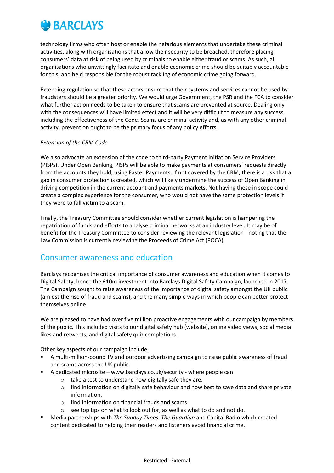

technology firms who often host or enable the nefarious elements that undertake these criminal activities, along with organisations that allow their security to be breached, therefore placing consumers' data at risk of being used by criminals to enable either fraud or scams. As such, all organisations who unwittingly facilitate and enable economic crime should be suitably accountable for this, and held responsible for the robust tackling of economic crime going forward.

Extending regulation so that these actors ensure that their systems and services cannot be used by fraudsters should be a greater priority. We would urge Government, the PSR and the FCA to consider what further action needs to be taken to ensure that scams are prevented at source. Dealing only with the consequences will have limited effect and it will be very difficult to measure any success, including the effectiveness of the Code. Scams are criminal activity and, as with any other criminal activity, prevention ought to be the primary focus of any policy efforts.

#### *Extension of the CRM Code*

We also advocate an extension of the code to third-party Payment Initiation Service Providers (PISPs). Under Open Banking, PISPs will be able to make payments at consumers' requests directly from the accounts they hold, using Faster Payments. If not covered by the CRM, there is a risk that a gap in consumer protection is created, which will likely undermine the success of Open Banking in driving competition in the current account and payments markets. Not having these in scope could create a complex experience for the consumer, who would not have the same protection levels if they were to fall victim to a scam.

Finally, the Treasury Committee should consider whether current legislation is hampering the repatriation of funds and efforts to analyse criminal networks at an industry level. It may be of benefit for the Treasury Committee to consider reviewing the relevant legislation - noting that the Law Commission is currently reviewing the Proceeds of Crime Act (POCA).

## Consumer awareness and education

Barclays recognises the critical importance of consumer awareness and education when it comes to Digital Safety, hence the £10m investment into Barclays Digital Safety Campaign, launched in 2017. The Campaign sought to raise awareness of the importance of digital safety amongst the UK public (amidst the rise of fraud and scams), and the many simple ways in which people can better protect themselves online.

We are pleased to have had over five million proactive engagements with our campaign by members of the public. This included visits to our digital safety hub (website), online video views, social media likes and retweets, and digital safety quiz completions.

Other key aspects of our campaign include:

- A multi-million-pound TV and outdoor advertising campaign to raise public awareness of fraud and scams across the UK public.
- A dedicated microsite www.barclays.co.uk/security where people can:
	- o take a test to understand how digitally safe they are.
	- o find information on digitally safe behaviour and how best to save data and share private information.
	- o find information on financial frauds and scams.
	- o see top tips on what to look out for, as well as what to do and not do.
- Media partnerships with *The Sunday Times*, *The Guardian* and Capital Radio which created content dedicated to helping their readers and listeners avoid financial crime.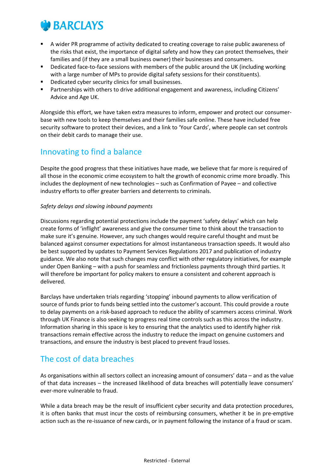

- A wider PR programme of activity dedicated to creating coverage to raise public awareness of the risks that exist, the importance of digital safety and how they can protect themselves, their families and (if they are a small business owner) their businesses and consumers.
- Dedicated face-to-face sessions with members of the public around the UK (including working with a large number of MPs to provide digital safety sessions for their constituents).
- Dedicated cyber security clinics for small businesses.
- Partnerships with others to drive additional engagement and awareness, including Citizens' Advice and Age UK.

Alongside this effort, we have taken extra measures to inform, empower and protect our consumerbase with new tools to keep themselves and their families safe online. These have included free security software to protect their devices, and a link to 'Your Cards', where people can set controls on their debit cards to manage their use.

# Innovating to find a balance

Despite the good progress that these initiatives have made, we believe that far more is required of all those in the economic crime ecosystem to halt the growth of economic crime more broadly. This includes the deployment of new technologies – such as Confirmation of Payee – and collective industry efforts to offer greater barriers and deterrents to criminals.

## *Safety delays and slowing inbound payments*

Discussions regarding potential protections include the payment 'safety delays' which can help create forms of 'inflight' awareness and give the consumer time to think about the transaction to make sure it's genuine. However, any such changes would require careful thought and must be balanced against consumer expectations for almost instantaneous transaction speeds. It would also be best supported by updates to Payment Services Regulations 2017 and publication of industry guidance. We also note that such changes may conflict with other regulatory initiatives, for example under Open Banking – with a push for seamless and frictionless payments through third parties. It will therefore be important for policy makers to ensure a consistent and coherent approach is delivered.

Barclays have undertaken trials regarding 'stopping' inbound payments to allow verification of source of funds prior to funds being settled into the customer's account. This could provide a route to delay payments on a risk-based approach to reduce the ability of scammers access criminal. Work through UK Finance is also seeking to progress real time controls such as this across the industry. Information sharing in this space is key to ensuring that the analytics used to identify higher risk transactions remain effective across the industry to reduce the impact on genuine customers and transactions, and ensure the industry is best placed to prevent fraud losses.

# The cost of data breaches

As organisations within all sectors collect an increasing amount of consumers' data – and as the value of that data increases – the increased likelihood of data breaches will potentially leave consumers' ever-more vulnerable to fraud.

While a data breach may be the result of insufficient cyber security and data protection procedures, it is often banks that must incur the costs of reimbursing consumers, whether it be in pre-emptive action such as the re-issuance of new cards, or in payment following the instance of a fraud or scam.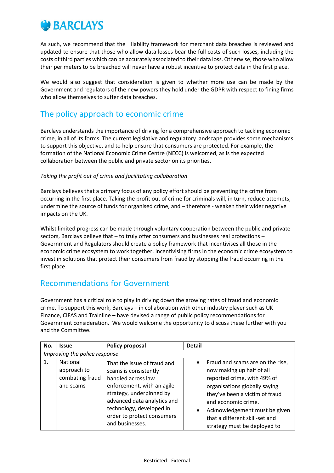

As such, we recommend that the liability framework for merchant data breaches is reviewed and updated to ensure that those who allow data losses bear the full costs of such losses, including the costs of third parties which can be accurately associated to their data loss. Otherwise, those who allow their perimeters to be breached will never have a robust incentive to protect data in the first place.

We would also suggest that consideration is given to whether more use can be made by the Government and regulators of the new powers they hold under the GDPR with respect to fining firms who allow themselves to suffer data breaches.

# The policy approach to economic crime

Barclays understands the importance of driving for a comprehensive approach to tackling economic crime, in all of its forms. The current legislative and regulatory landscape provides some mechanisms to support this objective, and to help ensure that consumers are protected. For example, the formation of the National Economic Crime Centre (NECC) is welcomed, as is the expected collaboration between the public and private sector on its priorities.

## *Taking the profit out of crime and facilitating collaboration*

Barclays believes that a primary focus of any policy effort should be preventing the crime from occurring in the first place. Taking the profit out of crime for criminals will, in turn, reduce attempts, undermine the source of funds for organised crime, and – therefore - weaken their wider negative impacts on the UK.

Whilst limited progress can be made through voluntary cooperation between the public and private sectors, Barclays believe that – to truly offer consumers and businesses real protections – Government and Regulators should create a policy framework that incentivises all those in the economic crime ecosystem to work together, incentivising firms in the economic crime ecosystem to invest in solutions that protect their consumers from fraud by stopping the fraud occurring in the first place.

# Recommendations for Government

Government has a critical role to play in driving down the growing rates of fraud and economic crime. To support this work, Barclays – in collaboration with other industry player such as UK Finance, CIFAS and Trainline – have devised a range of public policy recommendations for Government consideration. We would welcome the opportunity to discuss these further with you and the Committee.

| No. | <b>Issue</b>                                                   | Policy proposal                                                                                                                                                                                                                                  | <b>Detail</b> |                                                                                                                                                                                                                                                                                           |  |
|-----|----------------------------------------------------------------|--------------------------------------------------------------------------------------------------------------------------------------------------------------------------------------------------------------------------------------------------|---------------|-------------------------------------------------------------------------------------------------------------------------------------------------------------------------------------------------------------------------------------------------------------------------------------------|--|
|     | Improving the police response                                  |                                                                                                                                                                                                                                                  |               |                                                                                                                                                                                                                                                                                           |  |
| 1.  | <b>National</b><br>approach to<br>combating fraud<br>and scams | That the issue of fraud and<br>scams is consistently<br>handled across law<br>enforcement, with an agile<br>strategy, underpinned by<br>advanced data analytics and<br>technology, developed in<br>order to protect consumers<br>and businesses. |               | Fraud and scams are on the rise,<br>now making up half of all<br>reported crime, with 49% of<br>organisations globally saying<br>they've been a victim of fraud<br>and economic crime.<br>Acknowledgement must be given<br>that a different skill-set and<br>strategy must be deployed to |  |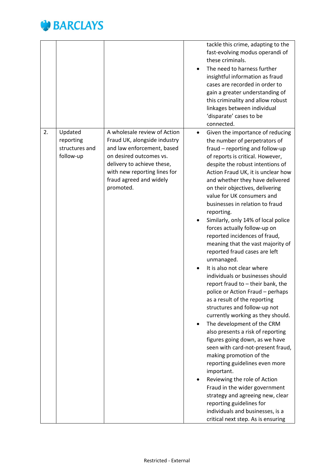

|    |                                                     |                                                                                                                                                                                                                             |                        | tackle this crime, adapting to the<br>fast-evolving modus operandi of<br>these criminals.<br>The need to harness further<br>insightful information as fraud<br>cases are recorded in order to<br>gain a greater understanding of<br>this criminality and allow robust<br>linkages between individual<br>'disparate' cases to be<br>connected.                                                                                                                                                                                                                                                                                                                                                                                                                                                                                                                                                                                                                                                                                                                                                                                                                                                                                                       |
|----|-----------------------------------------------------|-----------------------------------------------------------------------------------------------------------------------------------------------------------------------------------------------------------------------------|------------------------|-----------------------------------------------------------------------------------------------------------------------------------------------------------------------------------------------------------------------------------------------------------------------------------------------------------------------------------------------------------------------------------------------------------------------------------------------------------------------------------------------------------------------------------------------------------------------------------------------------------------------------------------------------------------------------------------------------------------------------------------------------------------------------------------------------------------------------------------------------------------------------------------------------------------------------------------------------------------------------------------------------------------------------------------------------------------------------------------------------------------------------------------------------------------------------------------------------------------------------------------------------|
| 2. | Updated<br>reporting<br>structures and<br>follow-up | A wholesale review of Action<br>Fraud UK, alongside industry<br>and law enforcement, based<br>on desired outcomes vs.<br>delivery to achieve these,<br>with new reporting lines for<br>fraud agreed and widely<br>promoted. | $\bullet$<br>$\bullet$ | Given the importance of reducing<br>the number of perpetrators of<br>fraud - reporting and follow-up<br>of reports is critical. However,<br>despite the robust intentions of<br>Action Fraud UK, it is unclear how<br>and whether they have delivered<br>on their objectives, delivering<br>value for UK consumers and<br>businesses in relation to fraud<br>reporting.<br>Similarly, only 14% of local police<br>forces actually follow-up on<br>reported incidences of fraud,<br>meaning that the vast majority of<br>reported fraud cases are left<br>unmanaged.<br>It is also not clear where<br>individuals or businesses should<br>report fraud to - their bank, the<br>police or Action Fraud - perhaps<br>as a result of the reporting<br>structures and follow-up not<br>currently working as they should.<br>The development of the CRM<br>also presents a risk of reporting<br>figures going down, as we have<br>seen with card-not-present fraud,<br>making promotion of the<br>reporting guidelines even more<br>important.<br>Reviewing the role of Action<br>Fraud in the wider government<br>strategy and agreeing new, clear<br>reporting guidelines for<br>individuals and businesses, is a<br>critical next step. As is ensuring |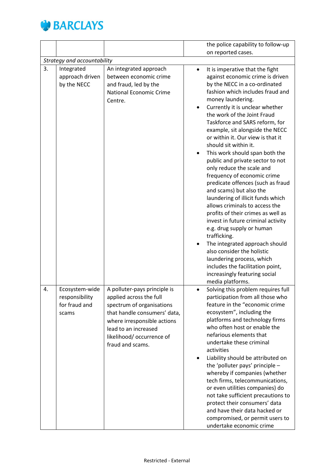

|    |                             |                                |           | the police capability to follow-up                                   |
|----|-----------------------------|--------------------------------|-----------|----------------------------------------------------------------------|
|    |                             |                                |           | on reported cases.                                                   |
|    | Strategy and accountability |                                |           |                                                                      |
| 3. | Integrated                  | An integrated approach         | $\bullet$ | It is imperative that the fight                                      |
|    | approach driven             | between economic crime         |           | against economic crime is driven                                     |
|    | by the NECC                 | and fraud, led by the          |           | by the NECC in a co-ordinated                                        |
|    |                             | <b>National Economic Crime</b> |           | fashion which includes fraud and                                     |
|    |                             | Centre.                        |           | money laundering.                                                    |
|    |                             |                                |           | Currently it is unclear whether                                      |
|    |                             |                                |           | the work of the Joint Fraud                                          |
|    |                             |                                |           | Taskforce and SARS reform, for                                       |
|    |                             |                                |           | example, sit alongside the NECC                                      |
|    |                             |                                |           | or within it. Our view is that it                                    |
|    |                             |                                |           | should sit within it.                                                |
|    |                             |                                | ٠         | This work should span both the<br>public and private sector to not   |
|    |                             |                                |           | only reduce the scale and                                            |
|    |                             |                                |           | frequency of economic crime                                          |
|    |                             |                                |           | predicate offences (such as fraud                                    |
|    |                             |                                |           | and scams) but also the                                              |
|    |                             |                                |           | laundering of illicit funds which                                    |
|    |                             |                                |           | allows criminals to access the                                       |
|    |                             |                                |           | profits of their crimes as well as                                   |
|    |                             |                                |           | invest in future criminal activity                                   |
|    |                             |                                |           | e.g. drug supply or human                                            |
|    |                             |                                |           | trafficking.                                                         |
|    |                             |                                |           | The integrated approach should                                       |
|    |                             |                                |           | also consider the holistic<br>laundering process, which              |
|    |                             |                                |           | includes the facilitation point,                                     |
|    |                             |                                |           | increasingly featuring social                                        |
|    |                             |                                |           | media platforms.                                                     |
| 4. | Ecosystem-wide              | A polluter-pays principle is   |           | Solving this problem requires full                                   |
|    | responsibility              | applied across the full        |           | participation from all those who                                     |
|    | for fraud and               | spectrum of organisations      |           | feature in the "economic crime                                       |
|    | scams                       | that handle consumers' data,   |           | ecosystem", including the                                            |
|    |                             | where irresponsible actions    |           | platforms and technology firms                                       |
|    |                             | lead to an increased           |           | who often host or enable the                                         |
|    |                             | likelihood/occurrence of       |           | nefarious elements that                                              |
|    |                             | fraud and scams.               |           | undertake these criminal                                             |
|    |                             |                                |           | activities                                                           |
|    |                             |                                |           | Liability should be attributed on<br>the 'polluter pays' principle - |
|    |                             |                                |           | whereby if companies (whether                                        |
|    |                             |                                |           | tech firms, telecommunications,                                      |
|    |                             |                                |           | or even utilities companies) do                                      |
|    |                             |                                |           | not take sufficient precautions to                                   |
|    |                             |                                |           | protect their consumers' data                                        |
|    |                             |                                |           | and have their data hacked or                                        |
|    |                             |                                |           | compromised, or permit users to                                      |
|    |                             |                                |           | undertake economic crime                                             |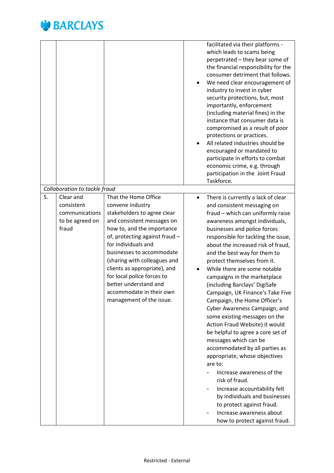

| Collaboration to tackle fraud                                               |                                                                                                                                                                                                                                                                                                                                                                                                          | facilitated via their platforms -<br>which leads to scams being<br>perpetrated - they bear some of<br>the financial responsibility for the<br>consumer detriment that follows.<br>We need clear encouragement of<br>industry to invest in cyber<br>security protections, but, most<br>importantly, enforcement<br>(including material fines) in the<br>instance that consumer data is<br>compromised as a result of poor<br>protections or practices.<br>All related industries should be<br>encouraged or mandated to<br>participate in efforts to combat<br>economic crime, e.g. through<br>participation in the Joint Fraud<br>Taskforce.                                                                                                                                                                                                                                                        |
|-----------------------------------------------------------------------------|----------------------------------------------------------------------------------------------------------------------------------------------------------------------------------------------------------------------------------------------------------------------------------------------------------------------------------------------------------------------------------------------------------|-----------------------------------------------------------------------------------------------------------------------------------------------------------------------------------------------------------------------------------------------------------------------------------------------------------------------------------------------------------------------------------------------------------------------------------------------------------------------------------------------------------------------------------------------------------------------------------------------------------------------------------------------------------------------------------------------------------------------------------------------------------------------------------------------------------------------------------------------------------------------------------------------------|
|                                                                             |                                                                                                                                                                                                                                                                                                                                                                                                          |                                                                                                                                                                                                                                                                                                                                                                                                                                                                                                                                                                                                                                                                                                                                                                                                                                                                                                     |
| 5.<br>Clear and<br>consistent<br>communications<br>to be agreed on<br>fraud | That the Home Office<br>convene industry<br>stakeholders to agree clear<br>and consistent messages on<br>how to, and the importance<br>of, protecting against fraud -<br>for individuals and<br>businesses to accommodate<br>(sharing with colleagues and<br>clients as appropriate), and<br>for local police forces to<br>better understand and<br>accommodate in their own<br>management of the issue. | There is currently a lack of clear<br>$\bullet$<br>and consistent messaging on<br>fraud - which can uniformly raise<br>awareness amongst individuals,<br>businesses and police forces<br>responsible for tackling the issue,<br>about the increased risk of fraud,<br>and the best way for them to<br>protect themselves from it.<br>While there are some notable<br>campaigns in the marketplace<br>(including Barclays' DigiSafe<br>Campaign, UK Finance's Take Five<br>Campaign, the Home Officer's<br>Cyber Awareness Campaign, and<br>some existing messages on the<br>Action Fraud Website) it would<br>be helpful to agree a core set of<br>messages which can be<br>accommodated by all parties as<br>appropriate, whose objectives<br>are to:<br>Increase awareness of the<br>risk of fraud.<br>Increase accountability felt<br>by individuals and businesses<br>to protect against fraud. |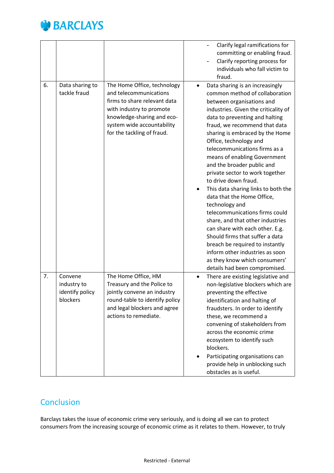

|    |                                                       |                                                                                                                                                                                                             |                | Clarify legal ramifications for<br>committing or enabling fraud.<br>Clarify reporting process for<br>individuals who fall victim to<br>fraud.                                                                                                                                                                                                                                                                                                                                                                                                                                                                                                                                                                                                                                                               |
|----|-------------------------------------------------------|-------------------------------------------------------------------------------------------------------------------------------------------------------------------------------------------------------------|----------------|-------------------------------------------------------------------------------------------------------------------------------------------------------------------------------------------------------------------------------------------------------------------------------------------------------------------------------------------------------------------------------------------------------------------------------------------------------------------------------------------------------------------------------------------------------------------------------------------------------------------------------------------------------------------------------------------------------------------------------------------------------------------------------------------------------------|
| 6. | Data sharing to<br>tackle fraud                       | The Home Office, technology<br>and telecommunications<br>firms to share relevant data<br>with industry to promote<br>knowledge-sharing and eco-<br>system wide accountability<br>for the tackling of fraud. | $\bullet$      | Data sharing is an increasingly<br>common method of collaboration<br>between organisations and<br>industries. Given the criticality of<br>data to preventing and halting<br>fraud, we recommend that data<br>sharing is embraced by the Home<br>Office, technology and<br>telecommunications firms as a<br>means of enabling Government<br>and the broader public and<br>private sector to work together<br>to drive down fraud.<br>This data sharing links to both the<br>data that the Home Office,<br>technology and<br>telecommunications firms could<br>share, and that other industries<br>can share with each other. E.g.<br>Should firms that suffer a data<br>breach be required to instantly<br>inform other industries as soon<br>as they know which consumers'<br>details had been compromised. |
| 7. | Convene<br>industry to<br>identify policy<br>blockers | The Home Office, HM<br>Treasury and the Police to<br>jointly convene an industry<br>round-table to identify policy<br>and legal blockers and agree<br>actions to remediate.                                 | $\bullet$<br>٠ | There are existing legislative and<br>non-legislative blockers which are<br>preventing the effective<br>identification and halting of<br>fraudsters. In order to identify<br>these, we recommend a<br>convening of stakeholders from<br>across the economic crime<br>ecosystem to identify such<br>blockers.<br>Participating organisations can<br>provide help in unblocking such<br>obstacles as is useful.                                                                                                                                                                                                                                                                                                                                                                                               |

# **Conclusion**

Barclays takes the issue of economic crime very seriously, and is doing all we can to protect consumers from the increasing scourge of economic crime as it relates to them. However, to truly